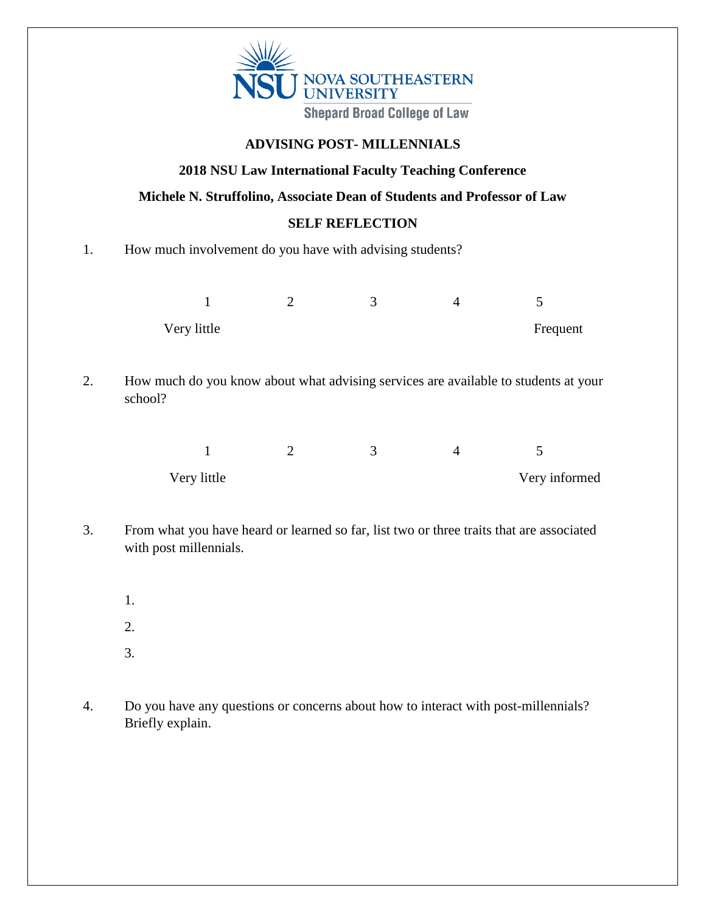

## **ADVISING POST- MILLENNIALS**

### **2018 NSU Law International Faculty Teaching Conference**

**Michele N. Struffolino, Associate Dean of Students and Professor of Law**

#### **SELF REFLECTION**

#### 1. How much involvement do you have with advising students?

| Very little |  | Frequent |
|-------------|--|----------|

2. How much do you know about what advising services are available to students at your school?

| Very little |  | Very informed |
|-------------|--|---------------|

- 3. From what you have heard or learned so far, list two or three traits that are associated with post millennials.
	- 1.
	- 2.
	- 3.
- 4. Do you have any questions or concerns about how to interact with post-millennials? Briefly explain.